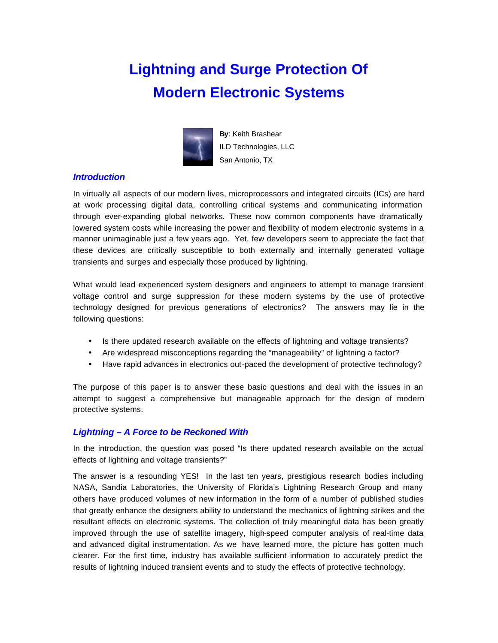# **Lightning and Surge Protection Of Modern Electronic Systems**



**By**: Keith Brashear ILD Technologies, LLC San Antonio, TX

## *Introduction*

In virtually all aspects of our modern lives, microprocessors and integrated circuits (ICs) are hard at work processing digital data, controlling critical systems and communicating information through ever-expanding global networks. These now common components have dramatically lowered system costs while increasing the power and flexibility of modern electronic systems in a manner unimaginable just a few years ago. Yet, few developers seem to appreciate the fact that these devices are critically susceptible to both externally and internally generated voltage transients and surges and especially those produced by lightning.

What would lead experienced system designers and engineers to attempt to manage transient voltage control and surge suppression for these modern systems by the use of protective technology designed for previous generations of electronics? The answers may lie in the following questions:

- Is there updated research available on the effects of lightning and voltage transients?
- Are widespread misconceptions regarding the "manageability" of lightning a factor?
- Have rapid advances in electronics out-paced the development of protective technology?

The purpose of this paper is to answer these basic questions and deal with the issues in an attempt to suggest a comprehensive but manageable approach for the design of modern protective systems.

## *Lightning – A Force to be Reckoned With*

In the introduction, the question was posed "Is there updated research available on the actual effects of lightning and voltage transients?"

The answer is a resounding YES! In the last ten years, prestigious research bodies including NASA, Sandia Laboratories, the University of Florida's Lightning Research Group and many others have produced volumes of new information in the form of a number of published studies that greatly enhance the designers ability to understand the mechanics of lightning strikes and the resultant effects on electronic systems. The collection of truly meaningful data has been greatly improved through the use of satellite imagery, high-speed computer analysis of real-time data and advanced digital instrumentation. As we have learned more, the picture has gotten much clearer. For the first time, industry has available sufficient information to accurately predict the results of lightning induced transient events and to study the effects of protective technology.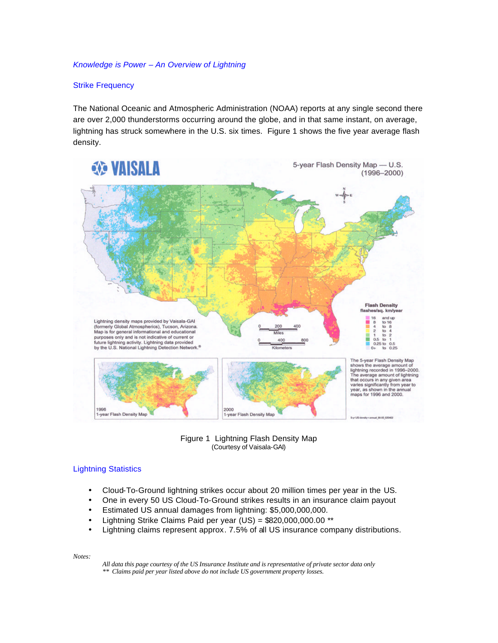#### *Knowledge is Power – An Overview of Lightning*

## Strike Frequency

The National Oceanic and Atmospheric Administration (NOAA) reports at any single second there are over 2,000 thunderstorms occurring around the globe, and in that same instant, on average, lightning has struck somewhere in the U.S. six times. Figure 1 shows the five year average flash density.



Figure 1 Lightning Flash Density Map (Courtesy of Vaisala-GAI)

#### Lightning Statistics

- Cloud-To-Ground lightning strikes occur about 20 million times per year in the US.
- One in every 50 US Cloud-To-Ground strikes results in an insurance claim payout
- Estimated US annual damages from lightning: \$5,000,000,000.
- Lightning Strike Claims Paid per year (US) = \$820,000,000.00 \*\*
- Lightning claims represent approx. 7.5% of all US insurance company distributions.

*Notes:* 

*All data this page courtesy of the US Insurance Institute and is representative of private sector data only \*\* Claims paid per year listed above do not include US government property losses.*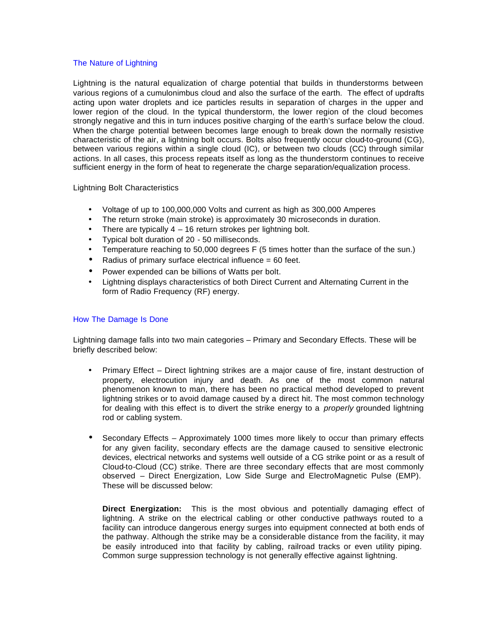## The Nature of Lightning

Lightning is the natural equalization of charge potential that builds in thunderstorms between various regions of a cumulonimbus cloud and also the surface of the earth. The effect of updrafts acting upon water droplets and ice particles results in separation of charges in the upper and lower region of the cloud. In the typical thunderstorm, the lower region of the cloud becomes strongly negative and this in turn induces positive charging of the earth's surface below the cloud. When the charge potential between becomes large enough to break down the normally resistive characteristic of the air, a lightning bolt occurs. Bolts also frequently occur cloud-to-ground (CG), between various regions within a single cloud (IC), or between two clouds (CC) through similar actions. In all cases, this process repeats itself as long as the thunderstorm continues to receive sufficient energy in the form of heat to regenerate the charge separation/equalization process.

Lightning Bolt Characteristics

- Voltage of up to 100,000,000 Volts and current as high as 300,000 Amperes
- The return stroke (main stroke) is approximately 30 microseconds in duration.
- There are typically  $4 16$  return strokes per lightning bolt.
- Typical bolt duration of 20 50 milliseconds.
- Temperature reaching to 50,000 degrees F (5 times hotter than the surface of the sun.)
- Radius of primary surface electrical influence = 60 feet.
- Power expended can be billions of Watts per bolt.
- Lightning displays characteristics of both Direct Current and Alternating Current in the form of Radio Frequency (RF) energy.

## How The Damage Is Done

Lightning damage falls into two main categories – Primary and Secondary Effects. These will be briefly described below:

- Primary Effect Direct lightning strikes are a major cause of fire, instant destruction of property, electrocution injury and death. As one of the most common natural phenomenon known to man, there has been no practical method developed to prevent lightning strikes or to avoid damage caused by a direct hit. The most common technology for dealing with this effect is to divert the strike energy to a *properly* grounded lightning rod or cabling system.
- Secondary Effects Approximately 1000 times more likely to occur than primary effects for any given facility, secondary effects are the damage caused to sensitive electronic devices, electrical networks and systems well outside of a CG strike point or as a result of Cloud-to-Cloud (CC) strike. There are three secondary effects that are most commonly observed – Direct Energization, Low Side Surge and ElectroMagnetic Pulse (EMP). These will be discussed below:

**Direct Energization:** This is the most obvious and potentially damaging effect of lightning. A strike on the electrical cabling or other conductive pathways routed to a facility can introduce dangerous energy surges into equipment connected at both ends of the pathway. Although the strike may be a considerable distance from the facility, it may be easily introduced into that facility by cabling, railroad tracks or even utility piping. Common surge suppression technology is not generally effective against lightning.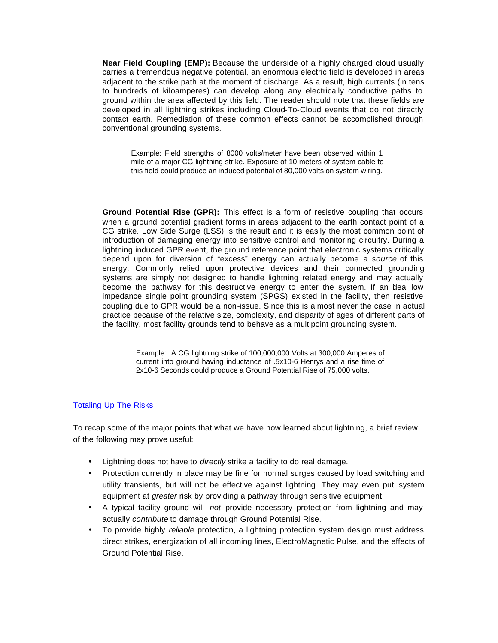**Near Field Coupling (EMP):** Because the underside of a highly charged cloud usually carries a tremendous negative potential, an enormous electric field is developed in areas adjacent to the strike path at the moment of discharge. As a result, high currents (in tens to hundreds of kiloamperes) can develop along any electrically conductive paths to ground within the area affected by this field. The reader should note that these fields are developed in all lightning strikes including Cloud-To-Cloud events that do not directly contact earth. Remediation of these common effects cannot be accomplished through conventional grounding systems.

Example: Field strengths of 8000 volts/meter have been observed within 1 mile of a major CG lightning strike. Exposure of 10 meters of system cable to this field could produce an induced potential of 80,000 volts on system wiring.

**Ground Potential Rise (GPR):** This effect is a form of resistive coupling that occurs when a ground potential gradient forms in areas adjacent to the earth contact point of a CG strike. Low Side Surge (LSS) is the result and it is easily the most common point of introduction of damaging energy into sensitive control and monitoring circuitry. During a lightning induced GPR event, the ground reference point that electronic systems critically depend upon for diversion of "excess" energy can actually become a *source* of this energy. Commonly relied upon protective devices and their connected grounding systems are simply not designed to handle lightning related energy and may actually become the pathway for this destructive energy to enter the system. If an ideal low impedance single point grounding system (SPGS) existed in the facility, then resistive coupling due to GPR would be a non-issue. Since this is almost never the case in actual practice because of the relative size, complexity, and disparity of ages of different parts of the facility, most facility grounds tend to behave as a multipoint grounding system.

> Example: A CG lightning strike of 100,000,000 Volts at 300,000 Amperes of current into ground having inductance of .5x10-6 Henrys and a rise time of 2x10-6 Seconds could produce a Ground Potential Rise of 75,000 volts.

## Totaling Up The Risks

To recap some of the major points that what we have now learned about lightning, a brief review of the following may prove useful:

- Lightning does not have to *directly* strike a facility to do real damage.
- Protection currently in place may be fine for normal surges caused by load switching and utility transients, but will not be effective against lightning. They may even put system equipment at *greater* risk by providing a pathway through sensitive equipment.
- A typical facility ground will *not* provide necessary protection from lightning and may actually *contribute* to damage through Ground Potential Rise.
- To provide highly *reliable* protection, a lightning protection system design must address direct strikes, energization of all incoming lines, ElectroMagnetic Pulse, and the effects of Ground Potential Rise.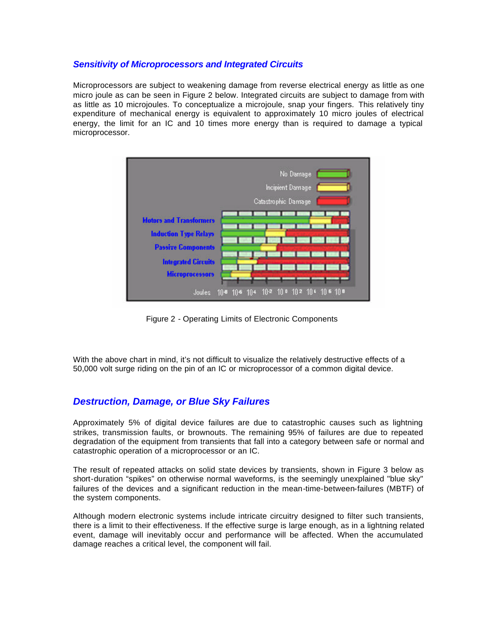## *Sensitivity of Microprocessors and Integrated Circuits*

Microprocessors are subject to weakening damage from reverse electrical energy as little as one micro joule as can be seen in Figure 2 below. Integrated circuits are subject to damage from with as little as 10 microjoules. To conceptualize a microjoule, snap your fingers. This relatively tiny expenditure of mechanical energy is equivalent to approximately 10 micro joules of electrical energy, the limit for an IC and 10 times more energy than is required to damage a typical microprocessor.



Figure 2 - Operating Limits of Electronic Components

With the above chart in mind, it's not difficult to visualize the relatively destructive effects of a 50,000 volt surge riding on the pin of an IC or microprocessor of a common digital device.

# *Destruction, Damage, or Blue Sky Failures*

Approximately 5% of digital device failures are due to catastrophic causes such as lightning strikes, transmission faults, or brownouts. The remaining 95% of failures are due to repeated degradation of the equipment from transients that fall into a category between safe or normal and catastrophic operation of a microprocessor or an IC.

The result of repeated attacks on solid state devices by transients, shown in Figure 3 below as short-duration "spikes" on otherwise normal waveforms, is the seemingly unexplained "blue sky" failures of the devices and a significant reduction in the mean-time-between-failures (MBTF) of the system components.

Although modern electronic systems include intricate circuitry designed to filter such transients, there is a limit to their effectiveness. If the effective surge is large enough, as in a lightning related event, damage will inevitably occur and performance will be affected. When the accumulated damage reaches a critical level, the component will fail.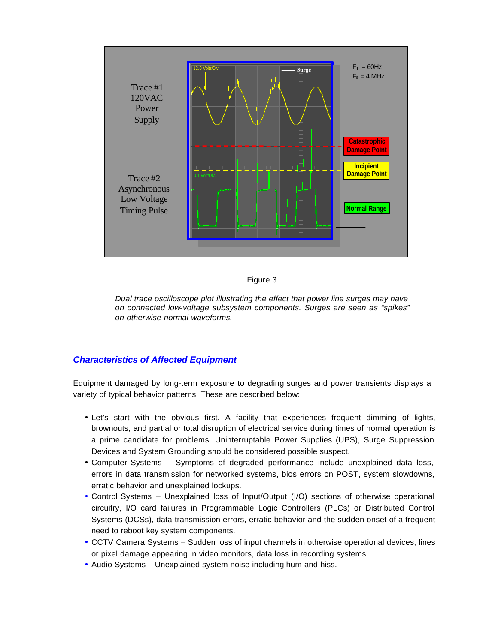



*Dual trace oscilloscope plot illustrating the effect that power line surges may have on connected low-voltage subsystem components. Surges are seen as "spikes" on otherwise normal waveforms.*

## *Characteristics of Affected Equipment*

Equipment damaged by long-term exposure to degrading surges and power transients displays a variety of typical behavior patterns. These are described below:

- Let's start with the obvious first. A facility that experiences frequent dimming of lights, brownouts, and partial or total disruption of electrical service during times of normal operation is a prime candidate for problems. Uninterruptable Power Supplies (UPS), Surge Suppression Devices and System Grounding should be considered possible suspect.
- Computer Systems Symptoms of degraded performance include unexplained data loss, errors in data transmission for networked systems, bios errors on POST, system slowdowns, erratic behavior and unexplained lockups.
- Control Systems Unexplained loss of Input/Output (I/O) sections of otherwise operational circuitry, I/O card failures in Programmable Logic Controllers (PLCs) or Distributed Control Systems (DCSs), data transmission errors, erratic behavior and the sudden onset of a frequent need to reboot key system components.
- CCTV Camera Systems Sudden loss of input channels in otherwise operational devices, lines or pixel damage appearing in video monitors, data loss in recording systems.
- Audio Systems Unexplained system noise including hum and hiss.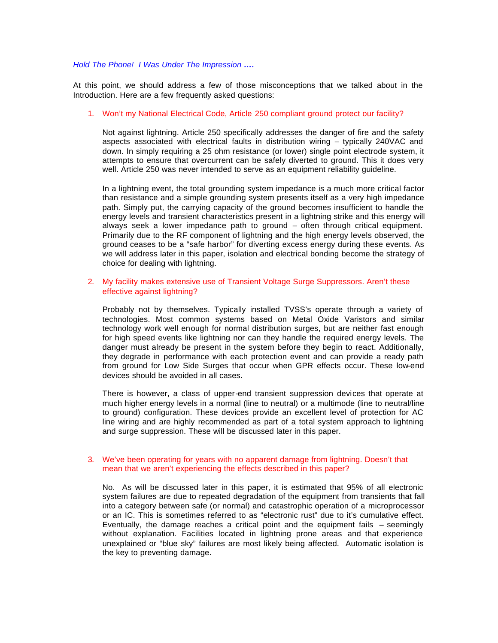#### *Hold The Phone! I Was Under The Impression ….*

At this point, we should address a few of those misconceptions that we talked about in the Introduction. Here are a few frequently asked questions:

#### 1. Won't my National Electrical Code, Article 250 compliant ground protect our facility?

Not against lightning. Article 250 specifically addresses the danger of fire and the safety aspects associated with electrical faults in distribution wiring – typically 240VAC and down. In simply requiring a 25 ohm resistance (or lower) single point electrode system, it attempts to ensure that overcurrent can be safely diverted to ground. This it does very well. Article 250 was never intended to serve as an equipment reliability guideline.

In a lightning event, the total grounding system impedance is a much more critical factor than resistance and a simple grounding system presents itself as a very high impedance path. Simply put, the carrying capacity of the ground becomes insufficient to handle the energy levels and transient characteristics present in a lightning strike and this energy will always seek a lower impedance path to ground – often through critical equipment. Primarily due to the RF component of lightning and the high energy levels observed, the ground ceases to be a "safe harbor" for diverting excess energy during these events. As we will address later in this paper, isolation and electrical bonding become the strategy of choice for dealing with lightning.

#### 2. My facility makes extensive use of Transient Voltage Surge Suppressors. Aren't these effective against lightning?

Probably not by themselves. Typically installed TVSS's operate through a variety of technologies. Most common systems based on Metal Oxide Varistors and similar technology work well enough for normal distribution surges, but are neither fast enough for high speed events like lightning nor can they handle the required energy levels. The danger must already be present in the system before they begin to react. Additionally, they degrade in performance with each protection event and can provide a ready path from ground for Low Side Surges that occur when GPR effects occur. These low-end devices should be avoided in all cases.

There is however, a class of upper-end transient suppression devices that operate at much higher energy levels in a normal (line to neutral) or a multimode (line to neutral/line to ground) configuration. These devices provide an excellent level of protection for AC line wiring and are highly recommended as part of a total system approach to lightning and surge suppression. These will be discussed later in this paper.

#### 3. We've been operating for years with no apparent damage from lightning. Doesn't that mean that we aren't experiencing the effects described in this paper?

No. As will be discussed later in this paper, it is estimated that 95% of all electronic system failures are due to repeated degradation of the equipment from transients that fall into a category between safe (or normal) and catastrophic operation of a microprocessor or an IC. This is sometimes referred to as "electronic rust" due to it's cumulative effect. Eventually, the damage reaches a critical point and the equipment fails – seemingly without explanation. Facilities located in lightning prone areas and that experience unexplained or "blue sky" failures are most likely being affected. Automatic isolation is the key to preventing damage.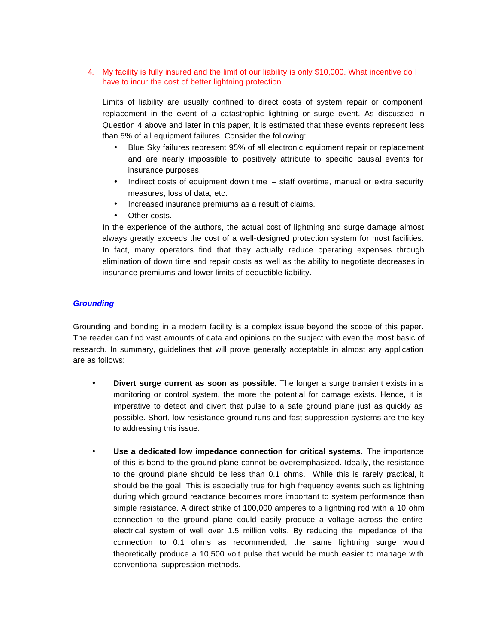4. My facility is fully insured and the limit of our liability is only \$10,000. What incentive do I have to incur the cost of better lightning protection.

Limits of liability are usually confined to direct costs of system repair or component replacement in the event of a catastrophic lightning or surge event. As discussed in Question 4 above and later in this paper, it is estimated that these events represent less than 5% of all equipment failures. Consider the following:

- Blue Sky failures represent 95% of all electronic equipment repair or replacement and are nearly impossible to positively attribute to specific causal events for insurance purposes.
- Indirect costs of equipment down time staff overtime, manual or extra security measures, loss of data, etc.
- Increased insurance premiums as a result of claims.
- Other costs.

In the experience of the authors, the actual cost of lightning and surge damage almost always greatly exceeds the cost of a well-designed protection system for most facilities. In fact, many operators find that they actually reduce operating expenses through elimination of down time and repair costs as well as the ability to negotiate decreases in insurance premiums and lower limits of deductible liability.

## *Grounding*

Grounding and bonding in a modern facility is a complex issue beyond the scope of this paper. The reader can find vast amounts of data and opinions on the subject with even the most basic of research. In summary, guidelines that will prove generally acceptable in almost any application are as follows:

- **Divert surge current as soon as possible.** The longer a surge transient exists in a monitoring or control system, the more the potential for damage exists. Hence, it is imperative to detect and divert that pulse to a safe ground plane just as quickly as possible. Short, low resistance ground runs and fast suppression systems are the key to addressing this issue.
- **Use a dedicated low impedance connection for critical systems.** The importance of this is bond to the ground plane cannot be overemphasized. Ideally, the resistance to the ground plane should be less than 0.1 ohms. While this is rarely practical, it should be the goal. This is especially true for high frequency events such as lightning during which ground reactance becomes more important to system performance than simple resistance. A direct strike of 100,000 amperes to a lightning rod with a 10 ohm connection to the ground plane could easily produce a voltage across the entire electrical system of well over 1.5 million volts. By reducing the impedance of the connection to 0.1 ohms as recommended, the same lightning surge would theoretically produce a 10,500 volt pulse that would be much easier to manage with conventional suppression methods.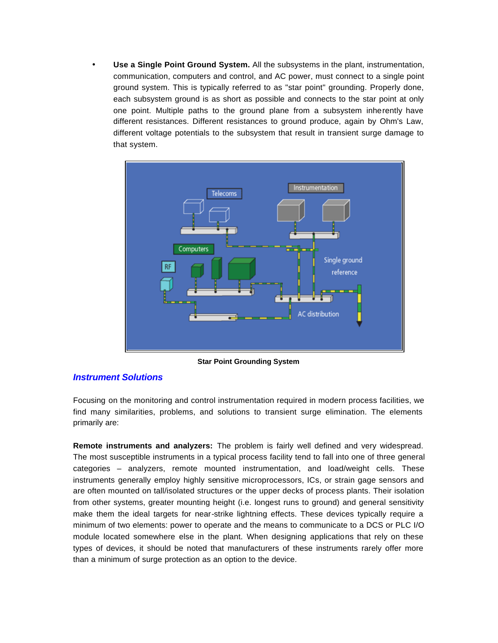• **Use a Single Point Ground System.** All the subsystems in the plant, instrumentation, communication, computers and control, and AC power, must connect to a single point ground system. This is typically referred to as "star point" grounding. Properly done, each subsystem ground is as short as possible and connects to the star point at only one point. Multiple paths to the ground plane from a subsystem inherently have different resistances. Different resistances to ground produce, again by Ohm's Law, different voltage potentials to the subsystem that result in transient surge damage to that system.



**Star Point Grounding System**

## *Instrument Solutions*

Focusing on the monitoring and control instrumentation required in modern process facilities, we find many similarities, problems, and solutions to transient surge elimination. The elements primarily are:

**Remote instruments and analyzers:** The problem is fairly well defined and very widespread. The most susceptible instruments in a typical process facility tend to fall into one of three general categories – analyzers, remote mounted instrumentation, and load/weight cells. These instruments generally employ highly sensitive microprocessors, ICs, or strain gage sensors and are often mounted on tall/isolated structures or the upper decks of process plants. Their isolation from other systems, greater mounting height (i.e. longest runs to ground) and general sensitivity make them the ideal targets for near-strike lightning effects. These devices typically require a minimum of two elements: power to operate and the means to communicate to a DCS or PLC I/O module located somewhere else in the plant. When designing applications that rely on these types of devices, it should be noted that manufacturers of these instruments rarely offer more than a minimum of surge protection as an option to the device.